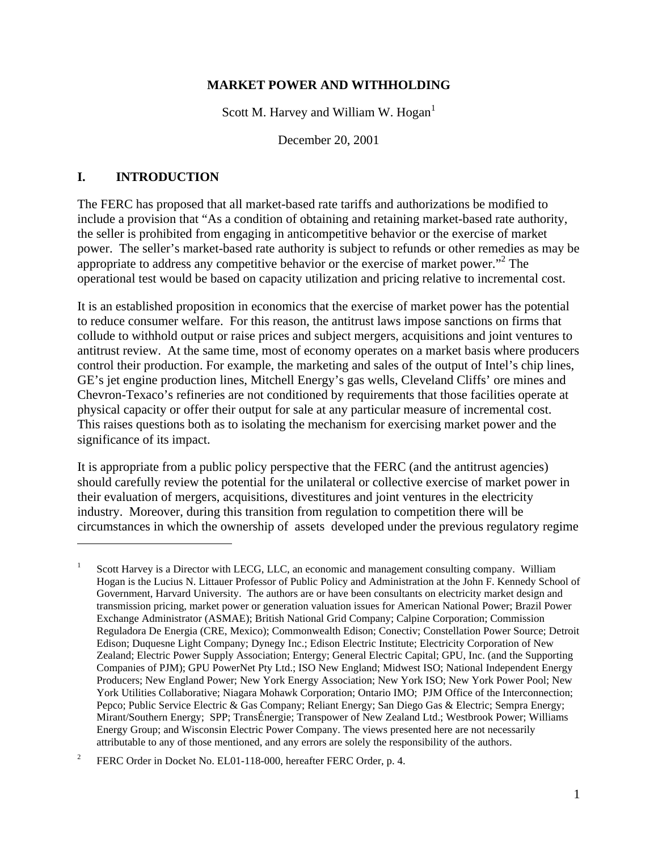#### **MARKET POWER AND WITHHOLDING**

Scott M. Harvey and William W. Hogan<sup>1</sup>

December 20, 2001

### **I. INTRODUCTION**

 $\overline{a}$ 

The FERC has proposed that all market-based rate tariffs and authorizations be modified to include a provision that "As a condition of obtaining and retaining market-based rate authority, the seller is prohibited from engaging in anticompetitive behavior or the exercise of market power. The seller's market-based rate authority is subject to refunds or other remedies as may be appropriate to address any competitive behavior or the exercise of market power."<sup>2</sup> The operational test would be based on capacity utilization and pricing relative to incremental cost.

It is an established proposition in economics that the exercise of market power has the potential to reduce consumer welfare. For this reason, the antitrust laws impose sanctions on firms that collude to withhold output or raise prices and subject mergers, acquisitions and joint ventures to antitrust review. At the same time, most of economy operates on a market basis where producers control their production. For example, the marketing and sales of the output of Intel's chip lines, GE's jet engine production lines, Mitchell Energy's gas wells, Cleveland Cliffs' ore mines and Chevron-Texaco's refineries are not conditioned by requirements that those facilities operate at physical capacity or offer their output for sale at any particular measure of incremental cost. This raises questions both as to isolating the mechanism for exercising market power and the significance of its impact.

It is appropriate from a public policy perspective that the FERC (and the antitrust agencies) should carefully review the potential for the unilateral or collective exercise of market power in their evaluation of mergers, acquisitions, divestitures and joint ventures in the electricity industry. Moreover, during this transition from regulation to competition there will be circumstances in which the ownership of assets developed under the previous regulatory regime

<sup>1</sup> Scott Harvey is a Director with LECG, LLC, an economic and management consulting company. William Hogan is the Lucius N. Littauer Professor of Public Policy and Administration at the John F. Kennedy School of Government, Harvard University. The authors are or have been consultants on electricity market design and transmission pricing, market power or generation valuation issues for American National Power; Brazil Power Exchange Administrator (ASMAE); British National Grid Company; Calpine Corporation; Commission Reguladora De Energia (CRE, Mexico); Commonwealth Edison; Conectiv; Constellation Power Source; Detroit Edison; Duquesne Light Company; Dynegy Inc.; Edison Electric Institute; Electricity Corporation of New Zealand; Electric Power Supply Association; Entergy; General Electric Capital; GPU, Inc. (and the Supporting Companies of PJM); GPU PowerNet Pty Ltd.; ISO New England; Midwest ISO; National Independent Energy Producers; New England Power; New York Energy Association; New York ISO; New York Power Pool; New York Utilities Collaborative; Niagara Mohawk Corporation; Ontario IMO; PJM Office of the Interconnection; Pepco; Public Service Electric & Gas Company; Reliant Energy; San Diego Gas & Electric; Sempra Energy; Mirant/Southern Energy; SPP; TransÉnergie; Transpower of New Zealand Ltd.; Westbrook Power; Williams Energy Group; and Wisconsin Electric Power Company. The views presented here are not necessarily attributable to any of those mentioned, and any errors are solely the responsibility of the authors.

<sup>2</sup> FERC Order in Docket No. EL01-118-000, hereafter FERC Order, p. 4.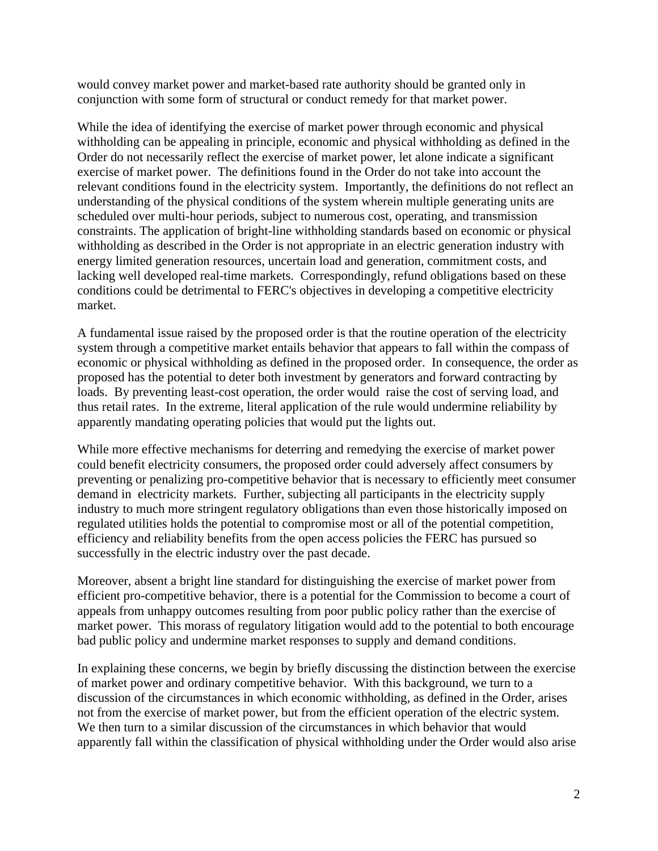would convey market power and market-based rate authority should be granted only in conjunction with some form of structural or conduct remedy for that market power.

While the idea of identifying the exercise of market power through economic and physical withholding can be appealing in principle, economic and physical withholding as defined in the Order do not necessarily reflect the exercise of market power, let alone indicate a significant exercise of market power. The definitions found in the Order do not take into account the relevant conditions found in the electricity system. Importantly, the definitions do not reflect an understanding of the physical conditions of the system wherein multiple generating units are scheduled over multi-hour periods, subject to numerous cost, operating, and transmission constraints. The application of bright-line withholding standards based on economic or physical withholding as described in the Order is not appropriate in an electric generation industry with energy limited generation resources, uncertain load and generation, commitment costs, and lacking well developed real-time markets. Correspondingly, refund obligations based on these conditions could be detrimental to FERC's objectives in developing a competitive electricity market.

A fundamental issue raised by the proposed order is that the routine operation of the electricity system through a competitive market entails behavior that appears to fall within the compass of economic or physical withholding as defined in the proposed order. In consequence, the order as proposed has the potential to deter both investment by generators and forward contracting by loads. By preventing least-cost operation, the order would raise the cost of serving load, and thus retail rates. In the extreme, literal application of the rule would undermine reliability by apparently mandating operating policies that would put the lights out.

While more effective mechanisms for deterring and remedying the exercise of market power could benefit electricity consumers, the proposed order could adversely affect consumers by preventing or penalizing pro-competitive behavior that is necessary to efficiently meet consumer demand in electricity markets. Further, subjecting all participants in the electricity supply industry to much more stringent regulatory obligations than even those historically imposed on regulated utilities holds the potential to compromise most or all of the potential competition, efficiency and reliability benefits from the open access policies the FERC has pursued so successfully in the electric industry over the past decade.

Moreover, absent a bright line standard for distinguishing the exercise of market power from efficient pro-competitive behavior, there is a potential for the Commission to become a court of appeals from unhappy outcomes resulting from poor public policy rather than the exercise of market power. This morass of regulatory litigation would add to the potential to both encourage bad public policy and undermine market responses to supply and demand conditions.

In explaining these concerns, we begin by briefly discussing the distinction between the exercise of market power and ordinary competitive behavior. With this background, we turn to a discussion of the circumstances in which economic withholding, as defined in the Order, arises not from the exercise of market power, but from the efficient operation of the electric system. We then turn to a similar discussion of the circumstances in which behavior that would apparently fall within the classification of physical withholding under the Order would also arise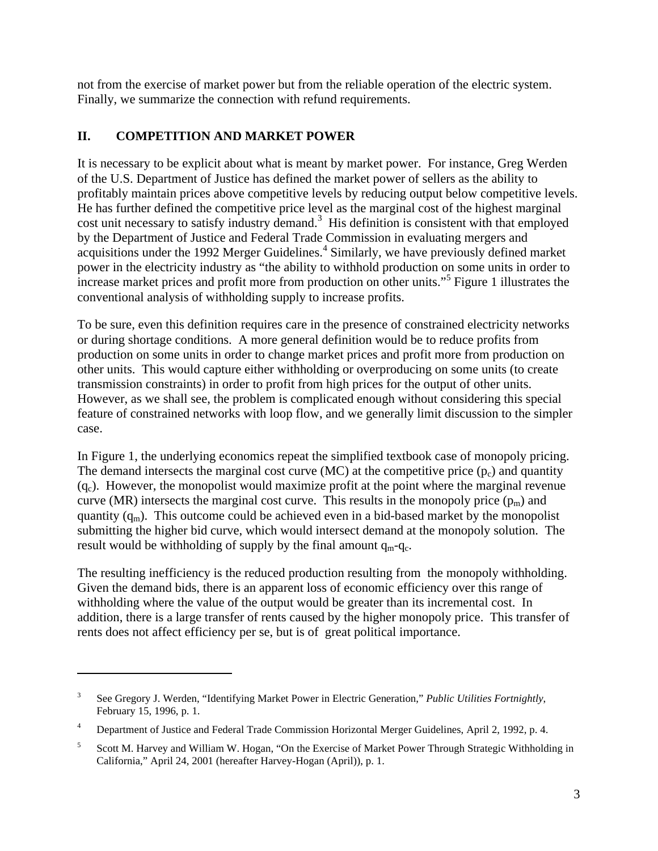not from the exercise of market power but from the reliable operation of the electric system. Finally, we summarize the connection with refund requirements.

# **II. COMPETITION AND MARKET POWER**

It is necessary to be explicit about what is meant by market power. For instance, Greg Werden of the U.S. Department of Justice has defined the market power of sellers as the ability to profitably maintain prices above competitive levels by reducing output below competitive levels. He has further defined the competitive price level as the marginal cost of the highest marginal cost unit necessary to satisfy industry demand.<sup>3</sup> His definition is consistent with that employed by the Department of Justice and Federal Trade Commission in evaluating mergers and acquisitions under the 1992 Merger Guidelines.<sup>4</sup> Similarly, we have previously defined market power in the electricity industry as "the ability to withhold production on some units in order to increase market prices and profit more from production on other units."<sup>5</sup> Figure 1 illustrates the conventional analysis of withholding supply to increase profits.

To be sure, even this definition requires care in the presence of constrained electricity networks or during shortage conditions. A more general definition would be to reduce profits from production on some units in order to change market prices and profit more from production on other units. This would capture either withholding or overproducing on some units (to create transmission constraints) in order to profit from high prices for the output of other units. However, as we shall see, the problem is complicated enough without considering this special feature of constrained networks with loop flow, and we generally limit discussion to the simpler case.

In Figure 1, the underlying economics repeat the simplified textbook case of monopoly pricing. The demand intersects the marginal cost curve (MC) at the competitive price  $(p_c)$  and quantity  $(q_c)$ . However, the monopolist would maximize profit at the point where the marginal revenue curve (MR) intersects the marginal cost curve. This results in the monopoly price  $(p_m)$  and quantity  $(q_m)$ . This outcome could be achieved even in a bid-based market by the monopolist submitting the higher bid curve, which would intersect demand at the monopoly solution. The result would be withholding of supply by the final amount  $q_{m} - q_{c}$ .

The resulting inefficiency is the reduced production resulting from the monopoly withholding. Given the demand bids, there is an apparent loss of economic efficiency over this range of withholding where the value of the output would be greater than its incremental cost. In addition, there is a large transfer of rents caused by the higher monopoly price. This transfer of rents does not affect efficiency per se, but is of great political importance.

1

<sup>3</sup> See Gregory J. Werden, "Identifying Market Power in Electric Generation," *Public Utilities Fortnightly*, February 15, 1996, p. 1.

<sup>4</sup> Department of Justice and Federal Trade Commission Horizontal Merger Guidelines, April 2, 1992, p. 4.

<sup>5</sup> Scott M. Harvey and William W. Hogan, "On the Exercise of Market Power Through Strategic Withholding in California," April 24, 2001 (hereafter Harvey-Hogan (April)), p. 1.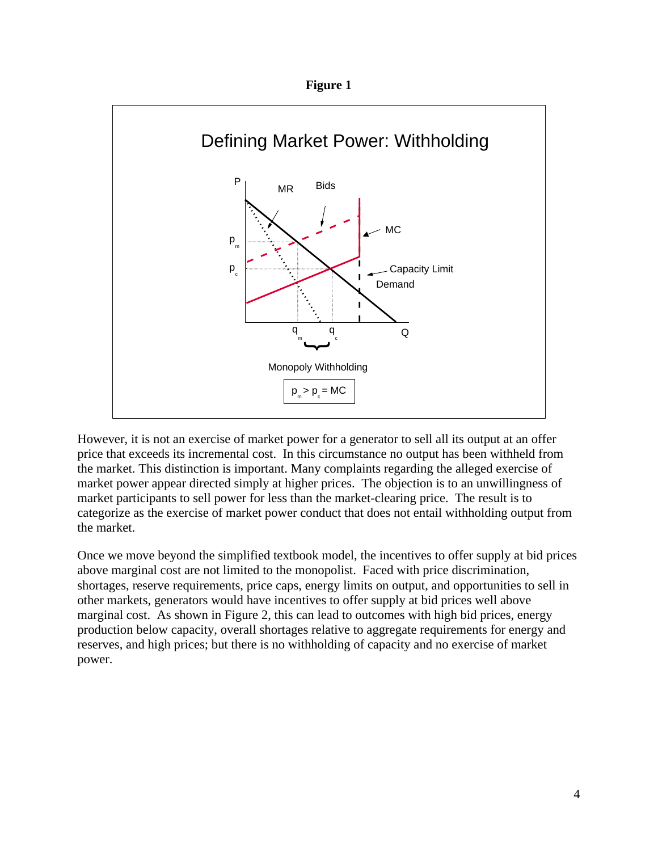**Figure 1**



However, it is not an exercise of market power for a generator to sell all its output at an offer price that exceeds its incremental cost. In this circumstance no output has been withheld from the market. This distinction is important. Many complaints regarding the alleged exercise of market power appear directed simply at higher prices. The objection is to an unwillingness of market participants to sell power for less than the market-clearing price. The result is to categorize as the exercise of market power conduct that does not entail withholding output from the market.

Once we move beyond the simplified textbook model, the incentives to offer supply at bid prices above marginal cost are not limited to the monopolist. Faced with price discrimination, shortages, reserve requirements, price caps, energy limits on output, and opportunities to sell in other markets, generators would have incentives to offer supply at bid prices well above marginal cost. As shown in Figure 2, this can lead to outcomes with high bid prices, energy production below capacity, overall shortages relative to aggregate requirements for energy and reserves, and high prices; but there is no withholding of capacity and no exercise of market power.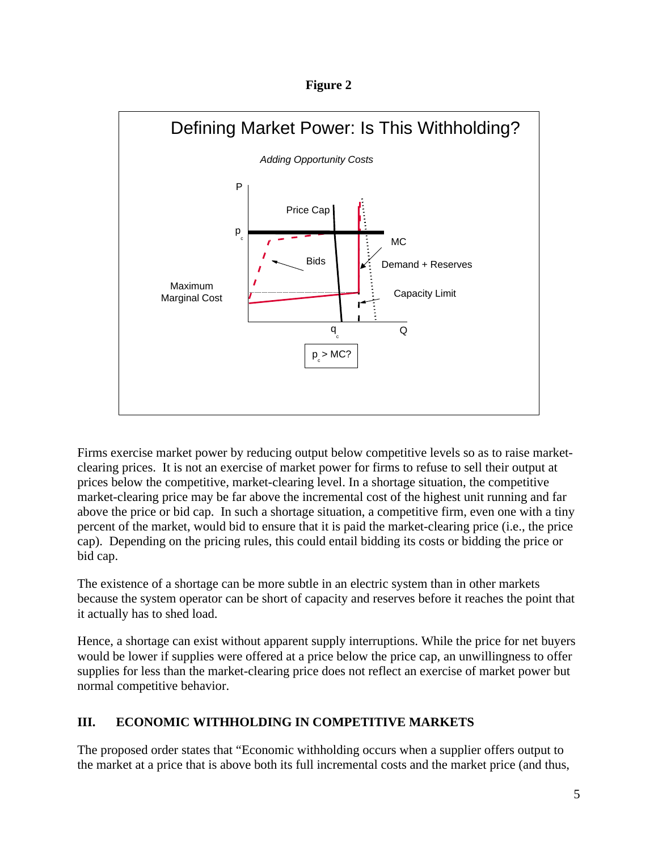**Figure 2**



Firms exercise market power by reducing output below competitive levels so as to raise marketclearing prices. It is not an exercise of market power for firms to refuse to sell their output at prices below the competitive, market-clearing level. In a shortage situation, the competitive market-clearing price may be far above the incremental cost of the highest unit running and far above the price or bid cap. In such a shortage situation, a competitive firm, even one with a tiny percent of the market, would bid to ensure that it is paid the market-clearing price (i.e., the price cap). Depending on the pricing rules, this could entail bidding its costs or bidding the price or bid cap.

The existence of a shortage can be more subtle in an electric system than in other markets because the system operator can be short of capacity and reserves before it reaches the point that it actually has to shed load.

Hence, a shortage can exist without apparent supply interruptions. While the price for net buyers would be lower if supplies were offered at a price below the price cap, an unwillingness to offer supplies for less than the market-clearing price does not reflect an exercise of market power but normal competitive behavior.

# **III. ECONOMIC WITHHOLDING IN COMPETITIVE MARKETS**

The proposed order states that "Economic withholding occurs when a supplier offers output to the market at a price that is above both its full incremental costs and the market price (and thus,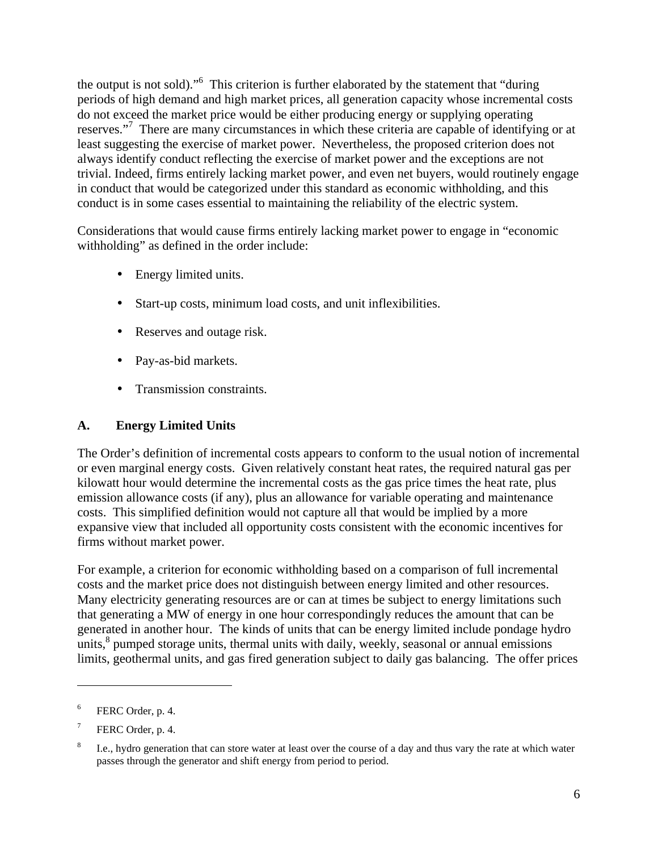the output is not sold)."<sup>6</sup> This criterion is further elaborated by the statement that "during periods of high demand and high market prices, all generation capacity whose incremental costs do not exceed the market price would be either producing energy or supplying operating reserves."<sup>7</sup> There are many circumstances in which these criteria are capable of identifying or at least suggesting the exercise of market power. Nevertheless, the proposed criterion does not always identify conduct reflecting the exercise of market power and the exceptions are not trivial. Indeed, firms entirely lacking market power, and even net buyers, would routinely engage in conduct that would be categorized under this standard as economic withholding, and this conduct is in some cases essential to maintaining the reliability of the electric system.

Considerations that would cause firms entirely lacking market power to engage in "economic withholding" as defined in the order include:

- Energy limited units.
- Start-up costs, minimum load costs, and unit inflexibilities.
- Reserves and outage risk.
- Pay-as-bid markets.
- Transmission constraints.

# **A. Energy Limited Units**

The Order's definition of incremental costs appears to conform to the usual notion of incremental or even marginal energy costs. Given relatively constant heat rates, the required natural gas per kilowatt hour would determine the incremental costs as the gas price times the heat rate, plus emission allowance costs (if any), plus an allowance for variable operating and maintenance costs. This simplified definition would not capture all that would be implied by a more expansive view that included all opportunity costs consistent with the economic incentives for firms without market power.

For example, a criterion for economic withholding based on a comparison of full incremental costs and the market price does not distinguish between energy limited and other resources. Many electricity generating resources are or can at times be subject to energy limitations such that generating a MW of energy in one hour correspondingly reduces the amount that can be generated in another hour. The kinds of units that can be energy limited include pondage hydro units, ${}^{8}$  pumped storage units, thermal units with daily, weekly, seasonal or annual emissions limits, geothermal units, and gas fired generation subject to daily gas balancing. The offer prices

<sup>6</sup> FERC Order, p. 4.

<sup>7</sup> FERC Order, p. 4.

<sup>8</sup> I.e., hydro generation that can store water at least over the course of a day and thus vary the rate at which water passes through the generator and shift energy from period to period.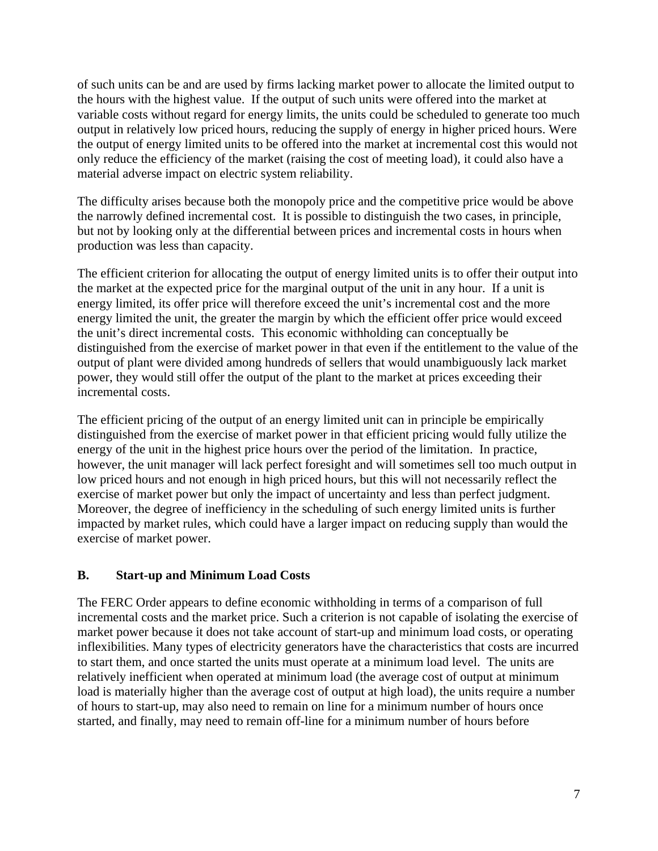of such units can be and are used by firms lacking market power to allocate the limited output to the hours with the highest value. If the output of such units were offered into the market at variable costs without regard for energy limits, the units could be scheduled to generate too much output in relatively low priced hours, reducing the supply of energy in higher priced hours. Were the output of energy limited units to be offered into the market at incremental cost this would not only reduce the efficiency of the market (raising the cost of meeting load), it could also have a material adverse impact on electric system reliability.

The difficulty arises because both the monopoly price and the competitive price would be above the narrowly defined incremental cost. It is possible to distinguish the two cases, in principle, but not by looking only at the differential between prices and incremental costs in hours when production was less than capacity.

The efficient criterion for allocating the output of energy limited units is to offer their output into the market at the expected price for the marginal output of the unit in any hour. If a unit is energy limited, its offer price will therefore exceed the unit's incremental cost and the more energy limited the unit, the greater the margin by which the efficient offer price would exceed the unit's direct incremental costs. This economic withholding can conceptually be distinguished from the exercise of market power in that even if the entitlement to the value of the output of plant were divided among hundreds of sellers that would unambiguously lack market power, they would still offer the output of the plant to the market at prices exceeding their incremental costs.

The efficient pricing of the output of an energy limited unit can in principle be empirically distinguished from the exercise of market power in that efficient pricing would fully utilize the energy of the unit in the highest price hours over the period of the limitation. In practice, however, the unit manager will lack perfect foresight and will sometimes sell too much output in low priced hours and not enough in high priced hours, but this will not necessarily reflect the exercise of market power but only the impact of uncertainty and less than perfect judgment. Moreover, the degree of inefficiency in the scheduling of such energy limited units is further impacted by market rules, which could have a larger impact on reducing supply than would the exercise of market power.

### **B. Start-up and Minimum Load Costs**

The FERC Order appears to define economic withholding in terms of a comparison of full incremental costs and the market price. Such a criterion is not capable of isolating the exercise of market power because it does not take account of start-up and minimum load costs, or operating inflexibilities. Many types of electricity generators have the characteristics that costs are incurred to start them, and once started the units must operate at a minimum load level. The units are relatively inefficient when operated at minimum load (the average cost of output at minimum load is materially higher than the average cost of output at high load), the units require a number of hours to start-up, may also need to remain on line for a minimum number of hours once started, and finally, may need to remain off-line for a minimum number of hours before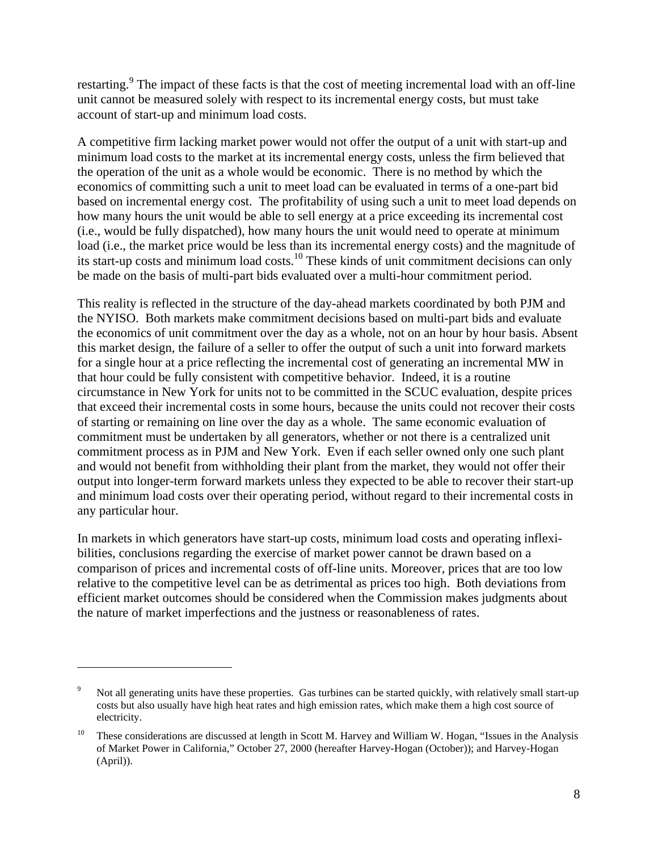restarting.<sup>9</sup> The impact of these facts is that the cost of meeting incremental load with an off-line unit cannot be measured solely with respect to its incremental energy costs, but must take account of start-up and minimum load costs.

A competitive firm lacking market power would not offer the output of a unit with start-up and minimum load costs to the market at its incremental energy costs, unless the firm believed that the operation of the unit as a whole would be economic. There is no method by which the economics of committing such a unit to meet load can be evaluated in terms of a one-part bid based on incremental energy cost. The profitability of using such a unit to meet load depends on how many hours the unit would be able to sell energy at a price exceeding its incremental cost (i.e., would be fully dispatched), how many hours the unit would need to operate at minimum load (i.e., the market price would be less than its incremental energy costs) and the magnitude of its start-up costs and minimum load costs.<sup>10</sup> These kinds of unit commitment decisions can only be made on the basis of multi-part bids evaluated over a multi-hour commitment period.

This reality is reflected in the structure of the day-ahead markets coordinated by both PJM and the NYISO. Both markets make commitment decisions based on multi-part bids and evaluate the economics of unit commitment over the day as a whole, not on an hour by hour basis. Absent this market design, the failure of a seller to offer the output of such a unit into forward markets for a single hour at a price reflecting the incremental cost of generating an incremental MW in that hour could be fully consistent with competitive behavior. Indeed, it is a routine circumstance in New York for units not to be committed in the SCUC evaluation, despite prices that exceed their incremental costs in some hours, because the units could not recover their costs of starting or remaining on line over the day as a whole. The same economic evaluation of commitment must be undertaken by all generators, whether or not there is a centralized unit commitment process as in PJM and New York. Even if each seller owned only one such plant and would not benefit from withholding their plant from the market, they would not offer their output into longer-term forward markets unless they expected to be able to recover their start-up and minimum load costs over their operating period, without regard to their incremental costs in any particular hour.

In markets in which generators have start-up costs, minimum load costs and operating inflexibilities, conclusions regarding the exercise of market power cannot be drawn based on a comparison of prices and incremental costs of off-line units. Moreover, prices that are too low relative to the competitive level can be as detrimental as prices too high. Both deviations from efficient market outcomes should be considered when the Commission makes judgments about the nature of market imperfections and the justness or reasonableness of rates.

<sup>&</sup>lt;sup>9</sup> Not all generating units have these properties. Gas turbines can be started quickly, with relatively small start-up costs but also usually have high heat rates and high emission rates, which make them a high cost source of electricity.

<sup>&</sup>lt;sup>10</sup> These considerations are discussed at length in Scott M. Harvey and William W. Hogan, "Issues in the Analysis" of Market Power in California," October 27, 2000 (hereafter Harvey-Hogan (October)); and Harvey-Hogan (April)).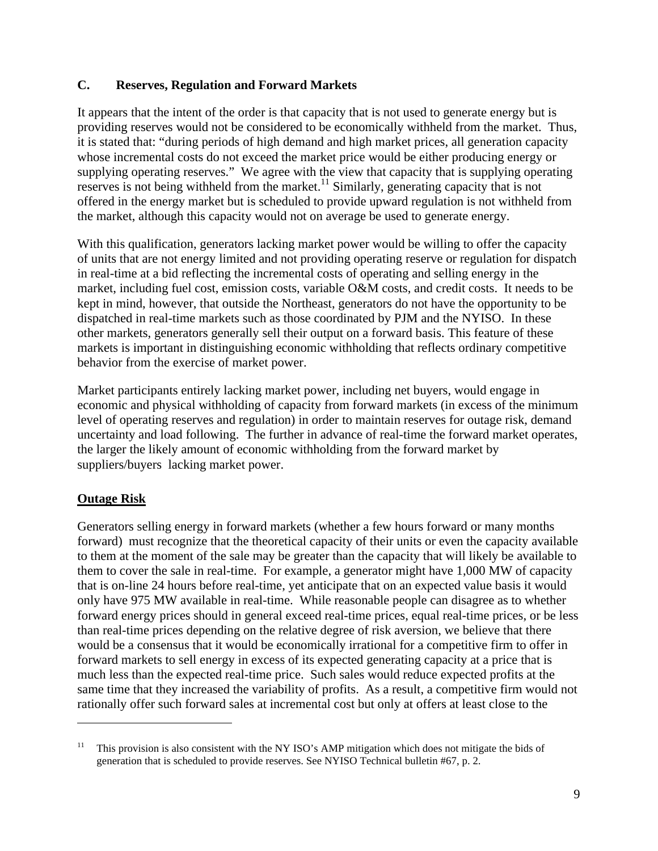### **C. Reserves, Regulation and Forward Markets**

It appears that the intent of the order is that capacity that is not used to generate energy but is providing reserves would not be considered to be economically withheld from the market. Thus, it is stated that: "during periods of high demand and high market prices, all generation capacity whose incremental costs do not exceed the market price would be either producing energy or supplying operating reserves." We agree with the view that capacity that is supplying operating reserves is not being withheld from the market.<sup>11</sup> Similarly, generating capacity that is not offered in the energy market but is scheduled to provide upward regulation is not withheld from the market, although this capacity would not on average be used to generate energy.

With this qualification, generators lacking market power would be willing to offer the capacity of units that are not energy limited and not providing operating reserve or regulation for dispatch in real-time at a bid reflecting the incremental costs of operating and selling energy in the market, including fuel cost, emission costs, variable O&M costs, and credit costs. It needs to be kept in mind, however, that outside the Northeast, generators do not have the opportunity to be dispatched in real-time markets such as those coordinated by PJM and the NYISO. In these other markets, generators generally sell their output on a forward basis. This feature of these markets is important in distinguishing economic withholding that reflects ordinary competitive behavior from the exercise of market power.

Market participants entirely lacking market power, including net buyers, would engage in economic and physical withholding of capacity from forward markets (in excess of the minimum level of operating reserves and regulation) in order to maintain reserves for outage risk, demand uncertainty and load following. The further in advance of real-time the forward market operates, the larger the likely amount of economic withholding from the forward market by suppliers/buyers lacking market power.

### **Outage Risk**

 $\overline{a}$ 

Generators selling energy in forward markets (whether a few hours forward or many months forward) must recognize that the theoretical capacity of their units or even the capacity available to them at the moment of the sale may be greater than the capacity that will likely be available to them to cover the sale in real-time. For example, a generator might have 1,000 MW of capacity that is on-line 24 hours before real-time, yet anticipate that on an expected value basis it would only have 975 MW available in real-time. While reasonable people can disagree as to whether forward energy prices should in general exceed real-time prices, equal real-time prices, or be less than real-time prices depending on the relative degree of risk aversion, we believe that there would be a consensus that it would be economically irrational for a competitive firm to offer in forward markets to sell energy in excess of its expected generating capacity at a price that is much less than the expected real-time price. Such sales would reduce expected profits at the same time that they increased the variability of profits. As a result, a competitive firm would not rationally offer such forward sales at incremental cost but only at offers at least close to the

<sup>&</sup>lt;sup>11</sup> This provision is also consistent with the NY ISO's AMP mitigation which does not mitigate the bids of generation that is scheduled to provide reserves. See NYISO Technical bulletin #67, p. 2.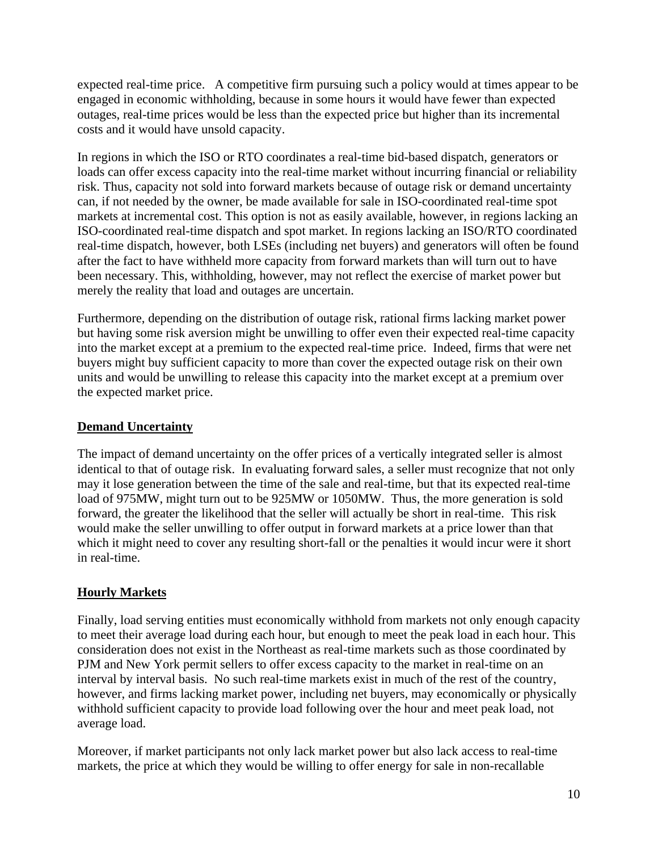expected real-time price. A competitive firm pursuing such a policy would at times appear to be engaged in economic withholding, because in some hours it would have fewer than expected outages, real-time prices would be less than the expected price but higher than its incremental costs and it would have unsold capacity.

In regions in which the ISO or RTO coordinates a real-time bid-based dispatch, generators or loads can offer excess capacity into the real-time market without incurring financial or reliability risk. Thus, capacity not sold into forward markets because of outage risk or demand uncertainty can, if not needed by the owner, be made available for sale in ISO-coordinated real-time spot markets at incremental cost. This option is not as easily available, however, in regions lacking an ISO-coordinated real-time dispatch and spot market. In regions lacking an ISO/RTO coordinated real-time dispatch, however, both LSEs (including net buyers) and generators will often be found after the fact to have withheld more capacity from forward markets than will turn out to have been necessary. This, withholding, however, may not reflect the exercise of market power but merely the reality that load and outages are uncertain.

Furthermore, depending on the distribution of outage risk, rational firms lacking market power but having some risk aversion might be unwilling to offer even their expected real-time capacity into the market except at a premium to the expected real-time price. Indeed, firms that were net buyers might buy sufficient capacity to more than cover the expected outage risk on their own units and would be unwilling to release this capacity into the market except at a premium over the expected market price.

### **Demand Uncertainty**

The impact of demand uncertainty on the offer prices of a vertically integrated seller is almost identical to that of outage risk. In evaluating forward sales, a seller must recognize that not only may it lose generation between the time of the sale and real-time, but that its expected real-time load of 975MW, might turn out to be 925MW or 1050MW. Thus, the more generation is sold forward, the greater the likelihood that the seller will actually be short in real-time. This risk would make the seller unwilling to offer output in forward markets at a price lower than that which it might need to cover any resulting short-fall or the penalties it would incur were it short in real-time.

### **Hourly Markets**

Finally, load serving entities must economically withhold from markets not only enough capacity to meet their average load during each hour, but enough to meet the peak load in each hour. This consideration does not exist in the Northeast as real-time markets such as those coordinated by PJM and New York permit sellers to offer excess capacity to the market in real-time on an interval by interval basis. No such real-time markets exist in much of the rest of the country, however, and firms lacking market power, including net buyers, may economically or physically withhold sufficient capacity to provide load following over the hour and meet peak load, not average load.

Moreover, if market participants not only lack market power but also lack access to real-time markets, the price at which they would be willing to offer energy for sale in non-recallable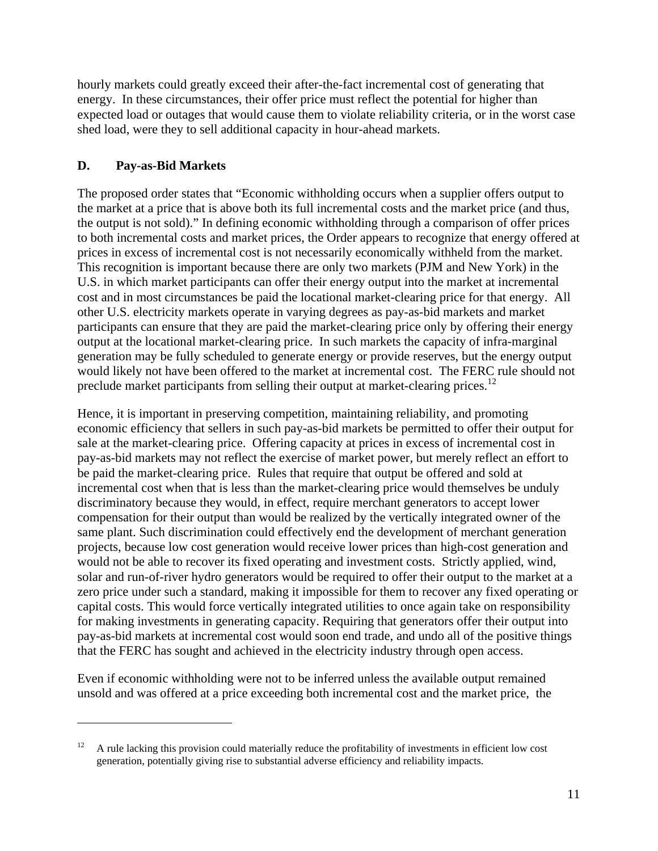hourly markets could greatly exceed their after-the-fact incremental cost of generating that energy. In these circumstances, their offer price must reflect the potential for higher than expected load or outages that would cause them to violate reliability criteria, or in the worst case shed load, were they to sell additional capacity in hour-ahead markets.

### **D. Pay-as-Bid Markets**

 $\overline{a}$ 

The proposed order states that "Economic withholding occurs when a supplier offers output to the market at a price that is above both its full incremental costs and the market price (and thus, the output is not sold)." In defining economic withholding through a comparison of offer prices to both incremental costs and market prices, the Order appears to recognize that energy offered at prices in excess of incremental cost is not necessarily economically withheld from the market. This recognition is important because there are only two markets (PJM and New York) in the U.S. in which market participants can offer their energy output into the market at incremental cost and in most circumstances be paid the locational market-clearing price for that energy. All other U.S. electricity markets operate in varying degrees as pay-as-bid markets and market participants can ensure that they are paid the market-clearing price only by offering their energy output at the locational market-clearing price. In such markets the capacity of infra-marginal generation may be fully scheduled to generate energy or provide reserves, but the energy output would likely not have been offered to the market at incremental cost. The FERC rule should not preclude market participants from selling their output at market-clearing prices.<sup>12</sup>

Hence, it is important in preserving competition, maintaining reliability, and promoting economic efficiency that sellers in such pay-as-bid markets be permitted to offer their output for sale at the market-clearing price. Offering capacity at prices in excess of incremental cost in pay-as-bid markets may not reflect the exercise of market power, but merely reflect an effort to be paid the market-clearing price. Rules that require that output be offered and sold at incremental cost when that is less than the market-clearing price would themselves be unduly discriminatory because they would, in effect, require merchant generators to accept lower compensation for their output than would be realized by the vertically integrated owner of the same plant. Such discrimination could effectively end the development of merchant generation projects, because low cost generation would receive lower prices than high-cost generation and would not be able to recover its fixed operating and investment costs. Strictly applied, wind, solar and run-of-river hydro generators would be required to offer their output to the market at a zero price under such a standard, making it impossible for them to recover any fixed operating or capital costs. This would force vertically integrated utilities to once again take on responsibility for making investments in generating capacity. Requiring that generators offer their output into pay-as-bid markets at incremental cost would soon end trade, and undo all of the positive things that the FERC has sought and achieved in the electricity industry through open access.

Even if economic withholding were not to be inferred unless the available output remained unsold and was offered at a price exceeding both incremental cost and the market price, the

<sup>&</sup>lt;sup>12</sup> A rule lacking this provision could materially reduce the profitability of investments in efficient low cost generation, potentially giving rise to substantial adverse efficiency and reliability impacts.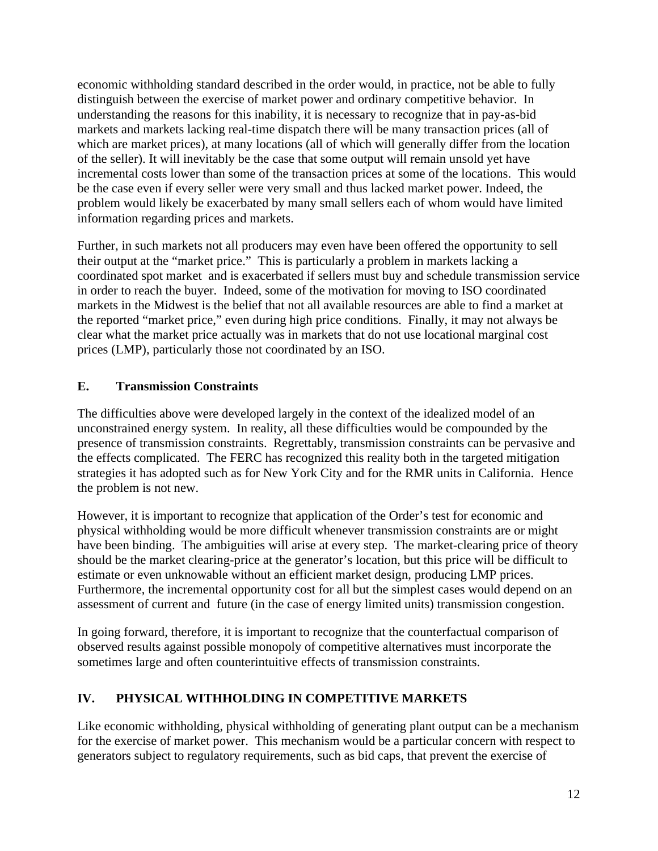economic withholding standard described in the order would, in practice, not be able to fully distinguish between the exercise of market power and ordinary competitive behavior. In understanding the reasons for this inability, it is necessary to recognize that in pay-as-bid markets and markets lacking real-time dispatch there will be many transaction prices (all of which are market prices), at many locations (all of which will generally differ from the location of the seller). It will inevitably be the case that some output will remain unsold yet have incremental costs lower than some of the transaction prices at some of the locations. This would be the case even if every seller were very small and thus lacked market power. Indeed, the problem would likely be exacerbated by many small sellers each of whom would have limited information regarding prices and markets.

Further, in such markets not all producers may even have been offered the opportunity to sell their output at the "market price." This is particularly a problem in markets lacking a coordinated spot market and is exacerbated if sellers must buy and schedule transmission service in order to reach the buyer. Indeed, some of the motivation for moving to ISO coordinated markets in the Midwest is the belief that not all available resources are able to find a market at the reported "market price," even during high price conditions. Finally, it may not always be clear what the market price actually was in markets that do not use locational marginal cost prices (LMP), particularly those not coordinated by an ISO.

## **E. Transmission Constraints**

The difficulties above were developed largely in the context of the idealized model of an unconstrained energy system. In reality, all these difficulties would be compounded by the presence of transmission constraints. Regrettably, transmission constraints can be pervasive and the effects complicated. The FERC has recognized this reality both in the targeted mitigation strategies it has adopted such as for New York City and for the RMR units in California. Hence the problem is not new.

However, it is important to recognize that application of the Order's test for economic and physical withholding would be more difficult whenever transmission constraints are or might have been binding. The ambiguities will arise at every step. The market-clearing price of theory should be the market clearing-price at the generator's location, but this price will be difficult to estimate or even unknowable without an efficient market design, producing LMP prices. Furthermore, the incremental opportunity cost for all but the simplest cases would depend on an assessment of current and future (in the case of energy limited units) transmission congestion.

In going forward, therefore, it is important to recognize that the counterfactual comparison of observed results against possible monopoly of competitive alternatives must incorporate the sometimes large and often counterintuitive effects of transmission constraints.

# **IV. PHYSICAL WITHHOLDING IN COMPETITIVE MARKETS**

Like economic withholding, physical withholding of generating plant output can be a mechanism for the exercise of market power. This mechanism would be a particular concern with respect to generators subject to regulatory requirements, such as bid caps, that prevent the exercise of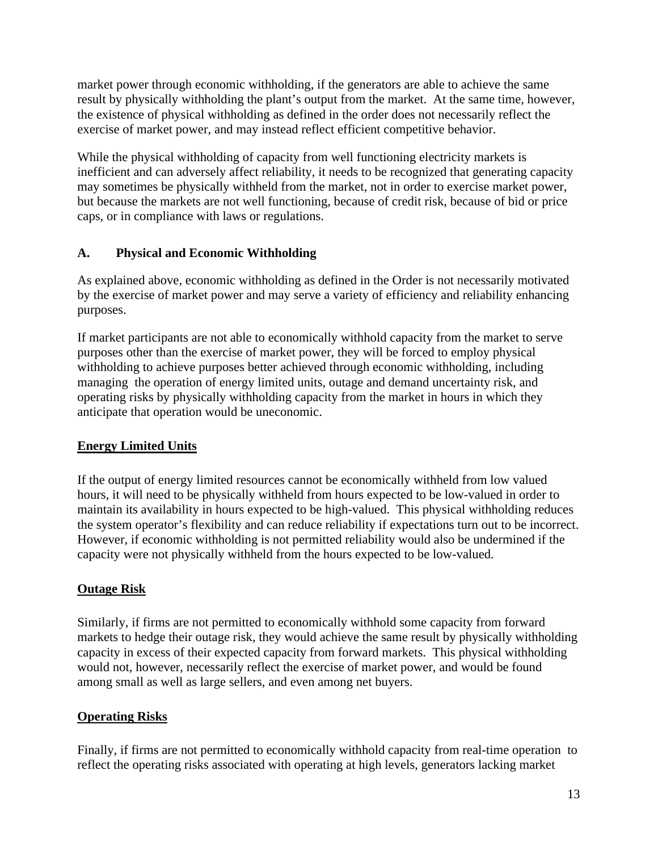market power through economic withholding, if the generators are able to achieve the same result by physically withholding the plant's output from the market. At the same time, however, the existence of physical withholding as defined in the order does not necessarily reflect the exercise of market power, and may instead reflect efficient competitive behavior.

While the physical withholding of capacity from well functioning electricity markets is inefficient and can adversely affect reliability, it needs to be recognized that generating capacity may sometimes be physically withheld from the market, not in order to exercise market power, but because the markets are not well functioning, because of credit risk, because of bid or price caps, or in compliance with laws or regulations.

# **A. Physical and Economic Withholding**

As explained above, economic withholding as defined in the Order is not necessarily motivated by the exercise of market power and may serve a variety of efficiency and reliability enhancing purposes.

If market participants are not able to economically withhold capacity from the market to serve purposes other than the exercise of market power, they will be forced to employ physical withholding to achieve purposes better achieved through economic withholding, including managing the operation of energy limited units, outage and demand uncertainty risk, and operating risks by physically withholding capacity from the market in hours in which they anticipate that operation would be uneconomic.

# **Energy Limited Units**

If the output of energy limited resources cannot be economically withheld from low valued hours, it will need to be physically withheld from hours expected to be low-valued in order to maintain its availability in hours expected to be high-valued. This physical withholding reduces the system operator's flexibility and can reduce reliability if expectations turn out to be incorrect. However, if economic withholding is not permitted reliability would also be undermined if the capacity were not physically withheld from the hours expected to be low-valued.

# **Outage Risk**

Similarly, if firms are not permitted to economically withhold some capacity from forward markets to hedge their outage risk, they would achieve the same result by physically withholding capacity in excess of their expected capacity from forward markets. This physical withholding would not, however, necessarily reflect the exercise of market power, and would be found among small as well as large sellers, and even among net buyers.

### **Operating Risks**

Finally, if firms are not permitted to economically withhold capacity from real-time operation to reflect the operating risks associated with operating at high levels, generators lacking market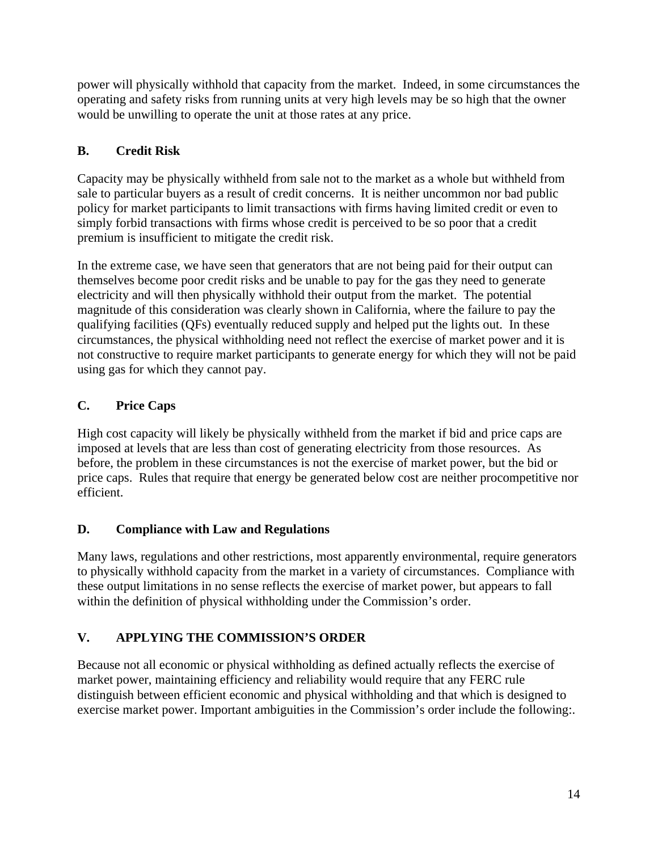power will physically withhold that capacity from the market. Indeed, in some circumstances the operating and safety risks from running units at very high levels may be so high that the owner would be unwilling to operate the unit at those rates at any price.

# **B. Credit Risk**

Capacity may be physically withheld from sale not to the market as a whole but withheld from sale to particular buyers as a result of credit concerns. It is neither uncommon nor bad public policy for market participants to limit transactions with firms having limited credit or even to simply forbid transactions with firms whose credit is perceived to be so poor that a credit premium is insufficient to mitigate the credit risk.

In the extreme case, we have seen that generators that are not being paid for their output can themselves become poor credit risks and be unable to pay for the gas they need to generate electricity and will then physically withhold their output from the market. The potential magnitude of this consideration was clearly shown in California, where the failure to pay the qualifying facilities (QFs) eventually reduced supply and helped put the lights out. In these circumstances, the physical withholding need not reflect the exercise of market power and it is not constructive to require market participants to generate energy for which they will not be paid using gas for which they cannot pay.

# **C. Price Caps**

High cost capacity will likely be physically withheld from the market if bid and price caps are imposed at levels that are less than cost of generating electricity from those resources. As before, the problem in these circumstances is not the exercise of market power, but the bid or price caps. Rules that require that energy be generated below cost are neither procompetitive nor efficient.

# **D. Compliance with Law and Regulations**

Many laws, regulations and other restrictions, most apparently environmental, require generators to physically withhold capacity from the market in a variety of circumstances. Compliance with these output limitations in no sense reflects the exercise of market power, but appears to fall within the definition of physical withholding under the Commission's order.

# **V. APPLYING THE COMMISSION'S ORDER**

Because not all economic or physical withholding as defined actually reflects the exercise of market power, maintaining efficiency and reliability would require that any FERC rule distinguish between efficient economic and physical withholding and that which is designed to exercise market power. Important ambiguities in the Commission's order include the following:.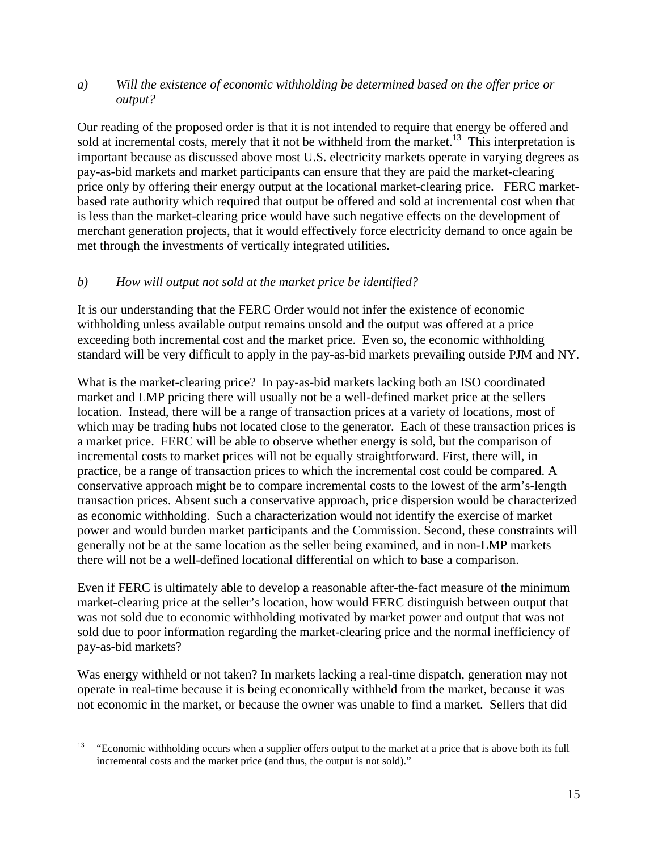### *a) Will the existence of economic withholding be determined based on the offer price or output?*

Our reading of the proposed order is that it is not intended to require that energy be offered and sold at incremental costs, merely that it not be withheld from the market.<sup>13</sup> This interpretation is important because as discussed above most U.S. electricity markets operate in varying degrees as pay-as-bid markets and market participants can ensure that they are paid the market-clearing price only by offering their energy output at the locational market-clearing price. FERC marketbased rate authority which required that output be offered and sold at incremental cost when that is less than the market-clearing price would have such negative effects on the development of merchant generation projects, that it would effectively force electricity demand to once again be met through the investments of vertically integrated utilities.

### *b) How will output not sold at the market price be identified?*

It is our understanding that the FERC Order would not infer the existence of economic withholding unless available output remains unsold and the output was offered at a price exceeding both incremental cost and the market price. Even so, the economic withholding standard will be very difficult to apply in the pay-as-bid markets prevailing outside PJM and NY.

What is the market-clearing price? In pay-as-bid markets lacking both an ISO coordinated market and LMP pricing there will usually not be a well-defined market price at the sellers location. Instead, there will be a range of transaction prices at a variety of locations, most of which may be trading hubs not located close to the generator. Each of these transaction prices is a market price. FERC will be able to observe whether energy is sold, but the comparison of incremental costs to market prices will not be equally straightforward. First, there will, in practice, be a range of transaction prices to which the incremental cost could be compared. A conservative approach might be to compare incremental costs to the lowest of the arm's-length transaction prices. Absent such a conservative approach, price dispersion would be characterized as economic withholding. Such a characterization would not identify the exercise of market power and would burden market participants and the Commission. Second, these constraints will generally not be at the same location as the seller being examined, and in non-LMP markets there will not be a well-defined locational differential on which to base a comparison.

Even if FERC is ultimately able to develop a reasonable after-the-fact measure of the minimum market-clearing price at the seller's location, how would FERC distinguish between output that was not sold due to economic withholding motivated by market power and output that was not sold due to poor information regarding the market-clearing price and the normal inefficiency of pay-as-bid markets?

Was energy withheld or not taken? In markets lacking a real-time dispatch, generation may not operate in real-time because it is being economically withheld from the market, because it was not economic in the market, or because the owner was unable to find a market. Sellers that did

<sup>13</sup> "Economic withholding occurs when a supplier offers output to the market at a price that is above both its full incremental costs and the market price (and thus, the output is not sold)."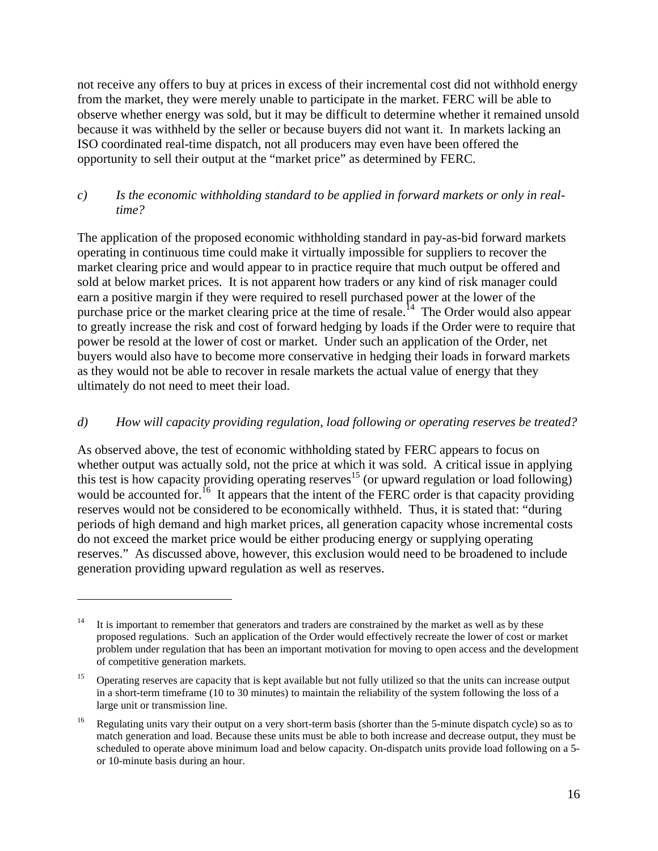not receive any offers to buy at prices in excess of their incremental cost did not withhold energy from the market, they were merely unable to participate in the market. FERC will be able to observe whether energy was sold, but it may be difficult to determine whether it remained unsold because it was withheld by the seller or because buyers did not want it. In markets lacking an ISO coordinated real-time dispatch, not all producers may even have been offered the opportunity to sell their output at the "market price" as determined by FERC.

### *c) Is the economic withholding standard to be applied in forward markets or only in realtime?*

The application of the proposed economic withholding standard in pay-as-bid forward markets operating in continuous time could make it virtually impossible for suppliers to recover the market clearing price and would appear to in practice require that much output be offered and sold at below market prices. It is not apparent how traders or any kind of risk manager could earn a positive margin if they were required to resell purchased power at the lower of the purchase price or the market clearing price at the time of resale.<sup>14</sup> The Order would also appear to greatly increase the risk and cost of forward hedging by loads if the Order were to require that power be resold at the lower of cost or market. Under such an application of the Order, net buyers would also have to become more conservative in hedging their loads in forward markets as they would not be able to recover in resale markets the actual value of energy that they ultimately do not need to meet their load.

### *d) How will capacity providing regulation, load following or operating reserves be treated?*

As observed above, the test of economic withholding stated by FERC appears to focus on whether output was actually sold, not the price at which it was sold. A critical issue in applying this test is how capacity providing operating reserves<sup>15</sup> (or upward regulation or load following) would be accounted for.<sup>16</sup> It appears that the intent of the FERC order is that capacity providing reserves would not be considered to be economically withheld. Thus, it is stated that: "during periods of high demand and high market prices, all generation capacity whose incremental costs do not exceed the market price would be either producing energy or supplying operating reserves." As discussed above, however, this exclusion would need to be broadened to include generation providing upward regulation as well as reserves.

1

<sup>&</sup>lt;sup>14</sup> It is important to remember that generators and traders are constrained by the market as well as by these proposed regulations. Such an application of the Order would effectively recreate the lower of cost or market problem under regulation that has been an important motivation for moving to open access and the development of competitive generation markets.

<sup>&</sup>lt;sup>15</sup> Operating reserves are capacity that is kept available but not fully utilized so that the units can increase output in a short-term timeframe (10 to 30 minutes) to maintain the reliability of the system following the loss of a large unit or transmission line.

<sup>&</sup>lt;sup>16</sup> Regulating units vary their output on a very short-term basis (shorter than the 5-minute dispatch cycle) so as to match generation and load. Because these units must be able to both increase and decrease output, they must be scheduled to operate above minimum load and below capacity. On-dispatch units provide load following on a 5 or 10-minute basis during an hour.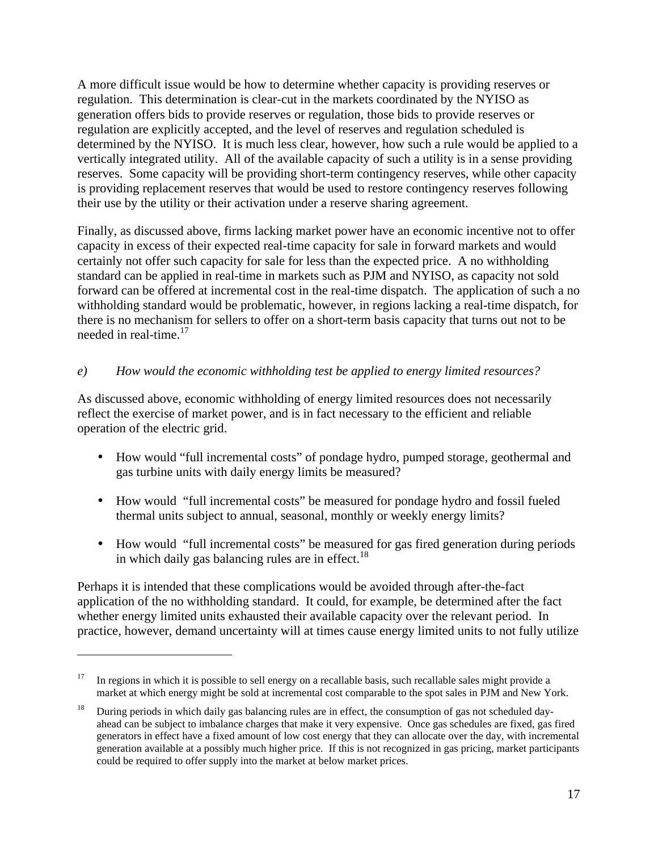A more difficult issue would be how to determine whether capacity is providing reserves or regulation. This determination is clear-cut in the markets coordinated by the NYISO as generation offers bids to provide reserves or regulation, those bids to provide reserves or regulation are explicitly accepted, and the level of reserves and regulation scheduled is determined by the NYISO. It is much less clear, however, how such a rule would be applied to a vertically integrated utility. All of the available capacity of such a utility is in a sense providing reserves. Some capacity will be providing short-term contingency reserves, while other capacity is providing replacement reserves that would be used to restore contingency reserves following their use by the utility or their activation under a reserve sharing agreement.

Finally, as discussed above, firms lacking market power have an economic incentive not to offer capacity in excess of their expected real-time capacity for sale in forward markets and would certainly not offer such capacity for sale for less than the expected price. A no withholding standard can be applied in real-time in markets such as PJM and NYISO, as capacity not sold forward can be offered at incremental cost in the real-time dispatch. The application of such a no withholding standard would be problematic, however, in regions lacking a real-time dispatch, for there is no mechanism for sellers to offer on a short-term basis capacity that turns out not to be needed in real-time. $17$ 

### *e) How would the economic withholding test be applied to energy limited resources?*

As discussed above, economic withholding of energy limited resources does not necessarily reflect the exercise of market power, and is in fact necessary to the efficient and reliable operation of the electric grid.

- How would "full incremental costs" of pondage hydro, pumped storage, geothermal and gas turbine units with daily energy limits be measured?
- How would "full incremental costs" be measured for pondage hydro and fossil fueled thermal units subject to annual, seasonal, monthly or weekly energy limits?
- How would "full incremental costs" be measured for gas fired generation during periods in which daily gas balancing rules are in effect. $18$

Perhaps it is intended that these complications would be avoided through after-the-fact application of the no withholding standard. It could, for example, be determined after the fact whether energy limited units exhausted their available capacity over the relevant period. In practice, however, demand uncertainty will at times cause energy limited units to not fully utilize

 $17$  In regions in which it is possible to sell energy on a recallable basis, such recallable sales might provide a market at which energy might be sold at incremental cost comparable to the spot sales in PJM and New York.

<sup>&</sup>lt;sup>18</sup> During periods in which daily gas balancing rules are in effect, the consumption of gas not scheduled dayahead can be subject to imbalance charges that make it very expensive. Once gas schedules are fixed, gas fired generators in effect have a fixed amount of low cost energy that they can allocate over the day, with incremental generation available at a possibly much higher price. If this is not recognized in gas pricing, market participants could be required to offer supply into the market at below market prices.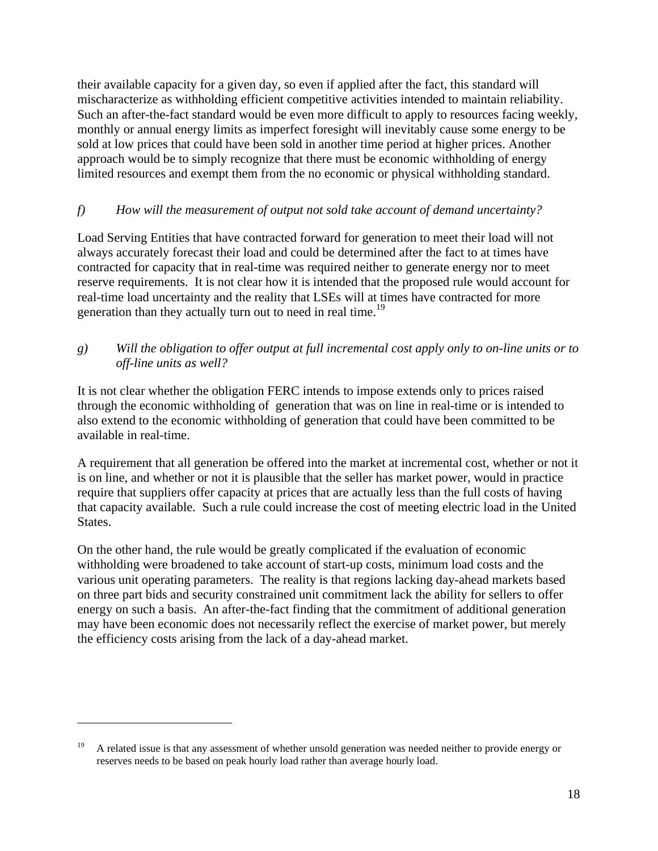their available capacity for a given day, so even if applied after the fact, this standard will mischaracterize as withholding efficient competitive activities intended to maintain reliability. Such an after-the-fact standard would be even more difficult to apply to resources facing weekly, monthly or annual energy limits as imperfect foresight will inevitably cause some energy to be sold at low prices that could have been sold in another time period at higher prices. Another approach would be to simply recognize that there must be economic withholding of energy limited resources and exempt them from the no economic or physical withholding standard.

### *f) How will the measurement of output not sold take account of demand uncertainty?*

Load Serving Entities that have contracted forward for generation to meet their load will not always accurately forecast their load and could be determined after the fact to at times have contracted for capacity that in real-time was required neither to generate energy nor to meet reserve requirements. It is not clear how it is intended that the proposed rule would account for real-time load uncertainty and the reality that LSEs will at times have contracted for more generation than they actually turn out to need in real time.<sup>19</sup>

### *g) Will the obligation to offer output at full incremental cost apply only to on-line units or to off-line units as well?*

It is not clear whether the obligation FERC intends to impose extends only to prices raised through the economic withholding of generation that was on line in real-time or is intended to also extend to the economic withholding of generation that could have been committed to be available in real-time.

A requirement that all generation be offered into the market at incremental cost, whether or not it is on line, and whether or not it is plausible that the seller has market power, would in practice require that suppliers offer capacity at prices that are actually less than the full costs of having that capacity available. Such a rule could increase the cost of meeting electric load in the United States.

On the other hand, the rule would be greatly complicated if the evaluation of economic withholding were broadened to take account of start-up costs, minimum load costs and the various unit operating parameters. The reality is that regions lacking day-ahead markets based on three part bids and security constrained unit commitment lack the ability for sellers to offer energy on such a basis. An after-the-fact finding that the commitment of additional generation may have been economic does not necessarily reflect the exercise of market power, but merely the efficiency costs arising from the lack of a day-ahead market.

<sup>&</sup>lt;sup>19</sup> A related issue is that any assessment of whether unsold generation was needed neither to provide energy or reserves needs to be based on peak hourly load rather than average hourly load.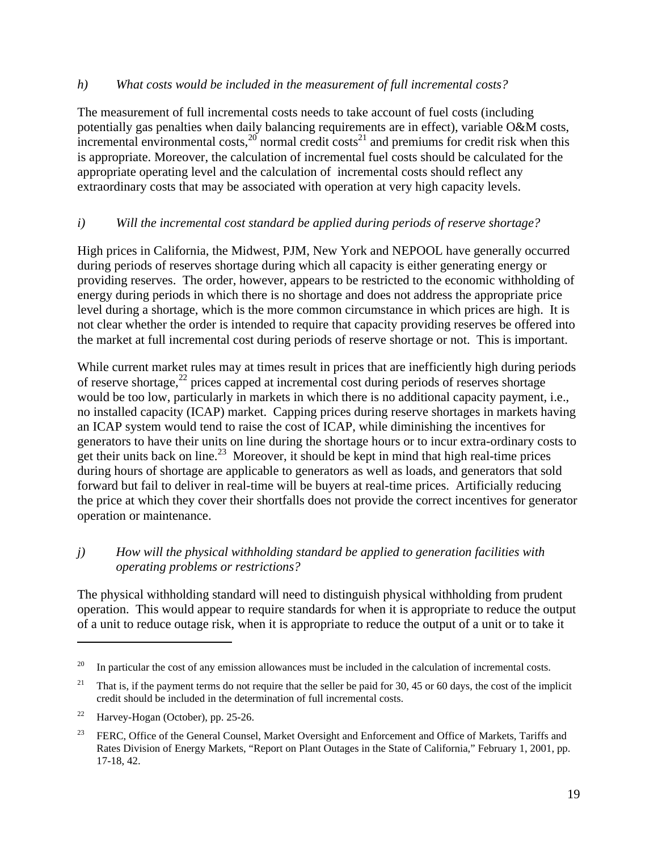#### *h) What costs would be included in the measurement of full incremental costs?*

The measurement of full incremental costs needs to take account of fuel costs (including potentially gas penalties when daily balancing requirements are in effect), variable O&M costs, incremental environmental costs,  $20$  normal credit costs<sup>21</sup> and premiums for credit risk when this is appropriate. Moreover, the calculation of incremental fuel costs should be calculated for the appropriate operating level and the calculation of incremental costs should reflect any extraordinary costs that may be associated with operation at very high capacity levels.

### *i) Will the incremental cost standard be applied during periods of reserve shortage?*

High prices in California, the Midwest, PJM, New York and NEPOOL have generally occurred during periods of reserves shortage during which all capacity is either generating energy or providing reserves. The order, however, appears to be restricted to the economic withholding of energy during periods in which there is no shortage and does not address the appropriate price level during a shortage, which is the more common circumstance in which prices are high. It is not clear whether the order is intended to require that capacity providing reserves be offered into the market at full incremental cost during periods of reserve shortage or not. This is important.

While current market rules may at times result in prices that are inefficiently high during periods of reserve shortage, $^{22}$  prices capped at incremental cost during periods of reserves shortage would be too low, particularly in markets in which there is no additional capacity payment, i.e., no installed capacity (ICAP) market. Capping prices during reserve shortages in markets having an ICAP system would tend to raise the cost of ICAP, while diminishing the incentives for generators to have their units on line during the shortage hours or to incur extra-ordinary costs to get their units back on line.<sup>23</sup> Moreover, it should be kept in mind that high real-time prices during hours of shortage are applicable to generators as well as loads, and generators that sold forward but fail to deliver in real-time will be buyers at real-time prices. Artificially reducing the price at which they cover their shortfalls does not provide the correct incentives for generator operation or maintenance.

### *j) How will the physical withholding standard be applied to generation facilities with operating problems or restrictions?*

The physical withholding standard will need to distinguish physical withholding from prudent operation. This would appear to require standards for when it is appropriate to reduce the output of a unit to reduce outage risk, when it is appropriate to reduce the output of a unit or to take it

<sup>&</sup>lt;sup>20</sup> In particular the cost of any emission allowances must be included in the calculation of incremental costs.

<sup>&</sup>lt;sup>21</sup> That is, if the payment terms do not require that the seller be paid for 30, 45 or 60 days, the cost of the implicit credit should be included in the determination of full incremental costs.

<sup>&</sup>lt;sup>22</sup> Harvey-Hogan (October), pp. 25-26.

<sup>&</sup>lt;sup>23</sup> FERC, Office of the General Counsel, Market Oversight and Enforcement and Office of Markets, Tariffs and Rates Division of Energy Markets, "Report on Plant Outages in the State of California," February 1, 2001, pp. 17-18, 42.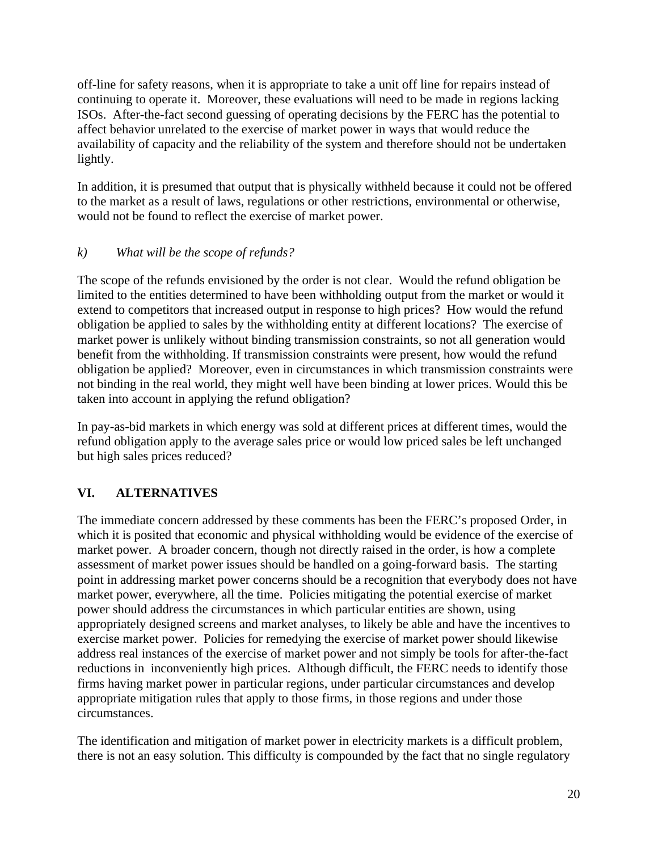off-line for safety reasons, when it is appropriate to take a unit off line for repairs instead of continuing to operate it. Moreover, these evaluations will need to be made in regions lacking ISOs. After-the-fact second guessing of operating decisions by the FERC has the potential to affect behavior unrelated to the exercise of market power in ways that would reduce the availability of capacity and the reliability of the system and therefore should not be undertaken lightly.

In addition, it is presumed that output that is physically withheld because it could not be offered to the market as a result of laws, regulations or other restrictions, environmental or otherwise, would not be found to reflect the exercise of market power.

## *k) What will be the scope of refunds?*

The scope of the refunds envisioned by the order is not clear. Would the refund obligation be limited to the entities determined to have been withholding output from the market or would it extend to competitors that increased output in response to high prices? How would the refund obligation be applied to sales by the withholding entity at different locations? The exercise of market power is unlikely without binding transmission constraints, so not all generation would benefit from the withholding. If transmission constraints were present, how would the refund obligation be applied? Moreover, even in circumstances in which transmission constraints were not binding in the real world, they might well have been binding at lower prices. Would this be taken into account in applying the refund obligation?

In pay-as-bid markets in which energy was sold at different prices at different times, would the refund obligation apply to the average sales price or would low priced sales be left unchanged but high sales prices reduced?

# **VI. ALTERNATIVES**

The immediate concern addressed by these comments has been the FERC's proposed Order, in which it is posited that economic and physical withholding would be evidence of the exercise of market power. A broader concern, though not directly raised in the order, is how a complete assessment of market power issues should be handled on a going-forward basis. The starting point in addressing market power concerns should be a recognition that everybody does not have market power, everywhere, all the time. Policies mitigating the potential exercise of market power should address the circumstances in which particular entities are shown, using appropriately designed screens and market analyses, to likely be able and have the incentives to exercise market power. Policies for remedying the exercise of market power should likewise address real instances of the exercise of market power and not simply be tools for after-the-fact reductions in inconveniently high prices. Although difficult, the FERC needs to identify those firms having market power in particular regions, under particular circumstances and develop appropriate mitigation rules that apply to those firms, in those regions and under those circumstances.

The identification and mitigation of market power in electricity markets is a difficult problem, there is not an easy solution. This difficulty is compounded by the fact that no single regulatory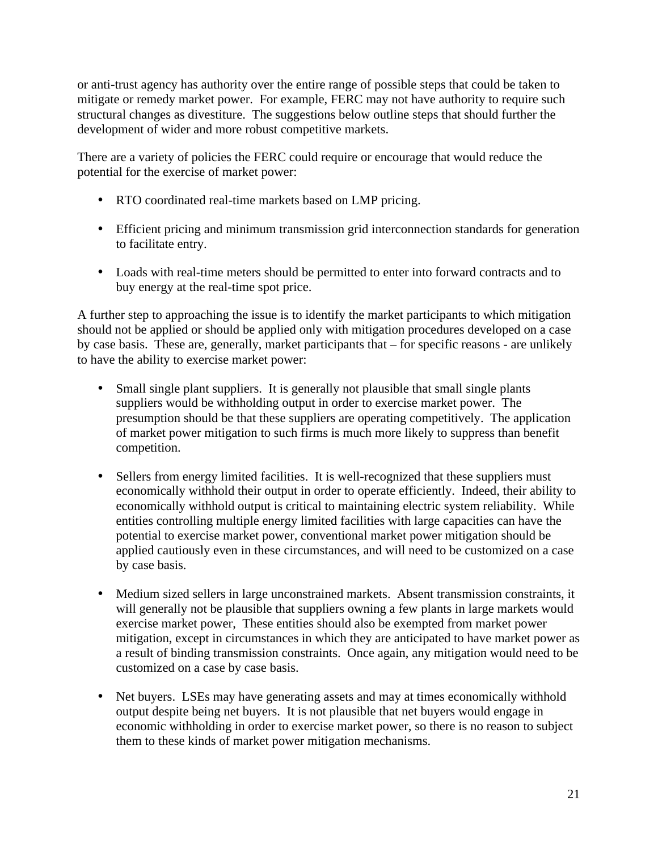or anti-trust agency has authority over the entire range of possible steps that could be taken to mitigate or remedy market power. For example, FERC may not have authority to require such structural changes as divestiture. The suggestions below outline steps that should further the development of wider and more robust competitive markets.

There are a variety of policies the FERC could require or encourage that would reduce the potential for the exercise of market power:

- RTO coordinated real-time markets based on LMP pricing.
- Efficient pricing and minimum transmission grid interconnection standards for generation to facilitate entry.
- Loads with real-time meters should be permitted to enter into forward contracts and to buy energy at the real-time spot price.

A further step to approaching the issue is to identify the market participants to which mitigation should not be applied or should be applied only with mitigation procedures developed on a case by case basis. These are, generally, market participants that – for specific reasons - are unlikely to have the ability to exercise market power:

- Small single plant suppliers. It is generally not plausible that small single plants suppliers would be withholding output in order to exercise market power. The presumption should be that these suppliers are operating competitively. The application of market power mitigation to such firms is much more likely to suppress than benefit competition.
- Sellers from energy limited facilities. It is well-recognized that these suppliers must economically withhold their output in order to operate efficiently. Indeed, their ability to economically withhold output is critical to maintaining electric system reliability. While entities controlling multiple energy limited facilities with large capacities can have the potential to exercise market power, conventional market power mitigation should be applied cautiously even in these circumstances, and will need to be customized on a case by case basis.
- Medium sized sellers in large unconstrained markets. Absent transmission constraints, it will generally not be plausible that suppliers owning a few plants in large markets would exercise market power, These entities should also be exempted from market power mitigation, except in circumstances in which they are anticipated to have market power as a result of binding transmission constraints. Once again, any mitigation would need to be customized on a case by case basis.
- Net buyers. LSEs may have generating assets and may at times economically withhold output despite being net buyers. It is not plausible that net buyers would engage in economic withholding in order to exercise market power, so there is no reason to subject them to these kinds of market power mitigation mechanisms.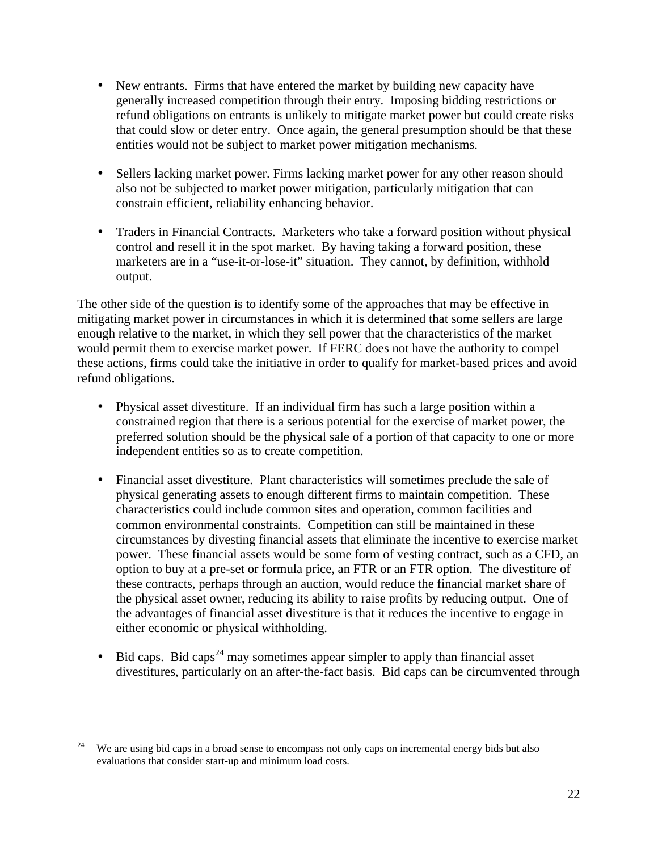- New entrants. Firms that have entered the market by building new capacity have generally increased competition through their entry. Imposing bidding restrictions or refund obligations on entrants is unlikely to mitigate market power but could create risks that could slow or deter entry. Once again, the general presumption should be that these entities would not be subject to market power mitigation mechanisms.
- Sellers lacking market power. Firms lacking market power for any other reason should also not be subjected to market power mitigation, particularly mitigation that can constrain efficient, reliability enhancing behavior.
- Traders in Financial Contracts. Marketers who take a forward position without physical control and resell it in the spot market. By having taking a forward position, these marketers are in a "use-it-or-lose-it" situation. They cannot, by definition, withhold output.

The other side of the question is to identify some of the approaches that may be effective in mitigating market power in circumstances in which it is determined that some sellers are large enough relative to the market, in which they sell power that the characteristics of the market would permit them to exercise market power. If FERC does not have the authority to compel these actions, firms could take the initiative in order to qualify for market-based prices and avoid refund obligations.

- Physical asset divestiture. If an individual firm has such a large position within a constrained region that there is a serious potential for the exercise of market power, the preferred solution should be the physical sale of a portion of that capacity to one or more independent entities so as to create competition.
- Financial asset divestiture. Plant characteristics will sometimes preclude the sale of physical generating assets to enough different firms to maintain competition. These characteristics could include common sites and operation, common facilities and common environmental constraints. Competition can still be maintained in these circumstances by divesting financial assets that eliminate the incentive to exercise market power. These financial assets would be some form of vesting contract, such as a CFD, an option to buy at a pre-set or formula price, an FTR or an FTR option. The divestiture of these contracts, perhaps through an auction, would reduce the financial market share of the physical asset owner, reducing its ability to raise profits by reducing output. One of the advantages of financial asset divestiture is that it reduces the incentive to engage in either economic or physical withholding.
- Bid caps. Bid caps<sup>24</sup> may sometimes appear simpler to apply than financial asset divestitures, particularly on an after-the-fact basis. Bid caps can be circumvented through

<sup>&</sup>lt;sup>24</sup> We are using bid caps in a broad sense to encompass not only caps on incremental energy bids but also evaluations that consider start-up and minimum load costs.